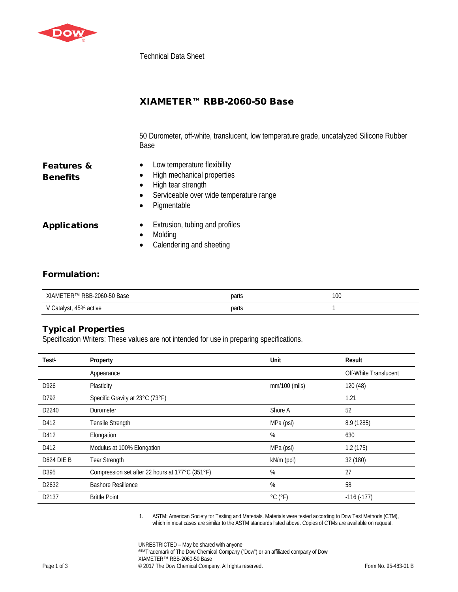

Technical Data Sheet

50 Durometer, off-white, translucent, low temperature grade, uncatalyzed Silicone Rubber Base

| <b>Features &amp;</b> |  |
|-----------------------|--|
| <b>Benefits</b>       |  |

- Low temperature flexibility
- High mechanical properties
- High tear strength
- Serviceable over wide temperature range
- Pigmentable

- Applications Extrusion, tubing and profiles
	- Molding
	- Calendering and sheeting

## Formulation:

| RBB-2060-50 Base<br>XIAMET<br>⊺FR™ | parts | 100<br>$\sim$ $\sim$ |
|------------------------------------|-------|----------------------|
| Catalyst, 45% active               | parts |                      |

## Typical Properties

Specification Writers: These values are not intended for use in preparing specifications.

| Test <sup>1</sup>      | Property                                        | Unit                         | Result                |
|------------------------|-------------------------------------------------|------------------------------|-----------------------|
|                        | Appearance                                      |                              | Off-White Translucent |
| D926                   | Plasticity                                      | mm/100 (mils)                | 120 (48)              |
| D792                   | Specific Gravity at 23°C (73°F)                 |                              | 1.21                  |
| D2240                  | Durometer                                       | Shore A                      | 52                    |
| D412                   | Tensile Strength                                | MPa (psi)                    | 8.9 (1285)            |
| D412                   | Elongation                                      | $\%$                         | 630                   |
| D412                   | Modulus at 100% Elongation                      | MPa (psi)                    | 1.2(175)              |
| D <sub>624</sub> DIE B | <b>Tear Strength</b>                            | kN/m (ppi)                   | 32 (180)              |
| D395                   | Compression set after 22 hours at 177°C (351°F) | %                            | 27                    |
| D2632                  | <b>Bashore Resilience</b>                       | %                            | 58                    |
| D2137                  | <b>Brittle Point</b>                            | $^{\circ}$ C ( $^{\circ}$ F) | $-116(-177)$          |

1. ASTM: American Society for Testing and Materials. Materials were tested according to Dow Test Methods (CTM), which in most cases are similar to the ASTM standards listed above. Copies of CTMs are available on request.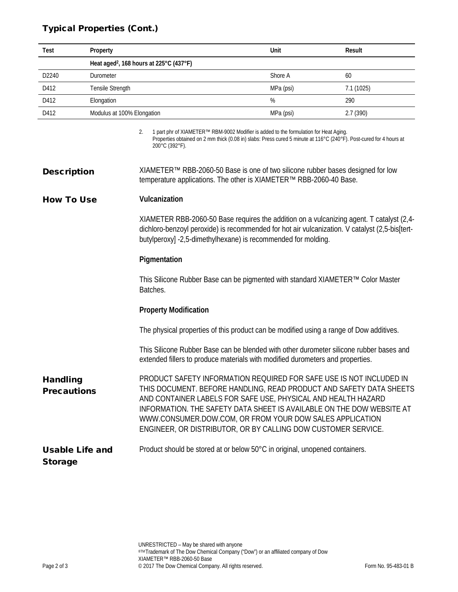# Typical Properties (Cont.)

| Test              | Property                                            | Unit      | Result    |
|-------------------|-----------------------------------------------------|-----------|-----------|
|                   |                                                     |           |           |
|                   | Heat aged <sup>2</sup> , 168 hours at 225°C (437°F) |           |           |
| D <sub>2240</sub> | Durometer                                           | Shore A   | 60        |
| D412              | Tensile Strength                                    | MPa (psi) | 7.1(1025) |
| D412              | Elongation                                          | %         | 290       |
| D412              | Modulus at 100% Elongation                          | MPa (psi) | 2.7(390)  |
|                   |                                                     |           |           |

2. 1 part phr of XIAMETER™ RBM-9002 Modifier is added to the formulation for Heat Aging. Properties obtained on 2 mm thick (0.08 in) slabs: Press cured 5 minute at 116°C (240°F). Post-cured for 4 hours at 200°C (392°F).

### How To Use **Vulcanization**

XIAMETER RBB-2060-50 Base requires the addition on a vulcanizing agent. T catalyst (2,4 dichloro-benzoyl peroxide) is recommended for hot air vulcanization. V catalyst (2,5-bis[tertbutylperoxy] -2,5-dimethylhexane) is recommended for molding.

#### **Pigmentation**

This Silicone Rubber Base can be pigmented with standard XIAMETER™ Color Master Batches.

#### **Property Modification**

The physical properties of this product can be modified using a range of Dow additives.

This Silicone Rubber Base can be blended with other durometer silicone rubber bases and extended fillers to produce materials with modified durometers and properties.

Handling **Precautions** PRODUCT SAFETY INFORMATION REQUIRED FOR SAFE USE IS NOT INCLUDED IN THIS DOCUMENT. BEFORE HANDLING, READ PRODUCT AND SAFETY DATA SHEETS AND CONTAINER LABELS FOR SAFE USE, PHYSICAL AND HEALTH HAZARD INFORMATION. THE SAFETY DATA SHEET IS AVAILABLE ON THE DOW WEBSITE AT WWW.CONSUMER.DOW.COM, OR FROM YOUR DOW SALES APPLICATION ENGINEER, OR DISTRIBUTOR, OR BY CALLING DOW CUSTOMER SERVICE.

Usable Life and Product should be stored at or below 50°C in original, unopened containers.

Storage

**Description** XIAMETER<sup>™</sup> RBB-2060-50 Base is one of two silicone rubber bases designed for low temperature applications. The other is XIAMETER™ RBB-2060-40 Base.